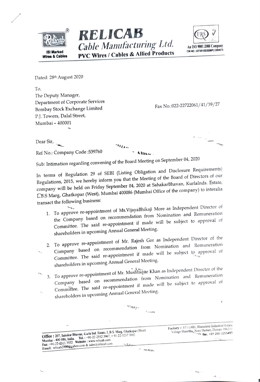





Dated: 28th August 2020

٠.,

To, The Deputy Manager, Department of Corporate Services Bombay Stock Exchange Limited P.J. Towers, Dalal Street, Mumbai - 400001

Fax No.:022-22722061/41/39/27

 $\mathbf{W}$ 

 $\rightarrow$  $\zeta$ 

Dear Sir,  $-$ ng $_{\rm H}$  $n_{H\star}$ Ref No.: Company Code: 539760 Allien Sub: Intimation regarding convening of the Board Meeting on September 04, 2020

In terms of Regulation 29 of SEBI (Listing Obligation and Disclosure Requirements) Regulations, 2015, we hereby inform you that the Meeting of the Board of Directors of our company will be held on Friday September 04, 2020 at SahakarBhavan, KurlaInds. Estate, L.B.S Marg, Ghatkopar (West), Mumbai 400086 (Mumbai Office of the company) to interalia transact the following business:

- 1. To approve re-appointment of Ms. VijayaBhikaji More as Independent Director of the Company based on recommendation from Nomination and Remuneration Committee. The said re-appointment if made will be subject to approval of shareholders in upcoming Annual General Meeting.
- 2. To approve re-appointment of Mr. Rajesh Gor as Independent Director of the Company based on recommendation from Nomination and Remuneration Committee. The said re-appointment if made will be subject to approval of  $\mathcal{L}_{\mathcal{L}}$ shareholders in upcoming Annual General Meeting.
- 3. To approve re-appointment of Mr. Mushtaque Khan as Independent Director of the Company based on recommendation from Nomination and Remuneration Committee. The said re-appointment if made will be subject to approval of shareholders in upcoming Annual General Meeting.

 $v_{\text{llay}}$ .

| $\sim$                                                                                                               |                                                                                                                                 |
|----------------------------------------------------------------------------------------------------------------------|---------------------------------------------------------------------------------------------------------------------------------|
|                                                                                                                      |                                                                                                                                 |
| $-4.4$<br>Office: 207, Sahakar Bhavan, Kurla Ind. Estate, L.B.S. Marg, Ghatkopar (West).                             | Factory :- 57/1 (4B), Bhenslore Industrial Estate,<br>Village Dunetha, Nani Daman, Daman 396210.<br>Waliof Tok: +91 260-3255493 |
| Mumbai - 400 086, India. Tel.: +91-22-2512 3967, +91-22-3257 3092<br>Fax: +91-22-2511 3552 Website : www.relicab.com |                                                                                                                                 |
| Email: relicab2000@yahoo.com & sales@relicab.com<br>adam<br>mauc                                                     |                                                                                                                                 |